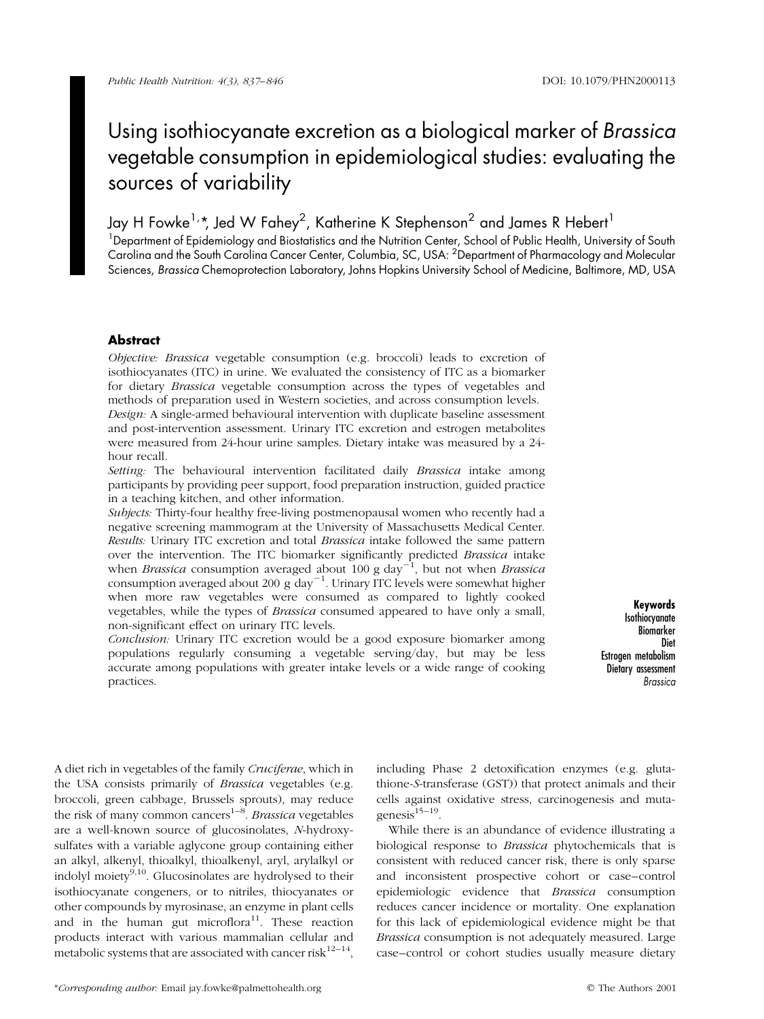# Using isothiocyanate excretion as a biological marker of Brassica vegetable consumption in epidemiological studies: evaluating the sources of variability

## Jay H Fowke<sup>1,</sup>\*, Jed W Fahey<sup>2</sup>, Katherine K Stephenson<sup>2</sup> and James R Hebert<sup>1</sup>

<sup>1</sup>Department of Epidemiology and Biostatistics and the Nutrition Center, School of Public Health, University of South Carolina and the South Carolina Cancer Center, Columbia, SC, USA: <sup>2</sup> Department of Pharmacology and Molecular Sciences, Brassica Chemoprotection Laboratory, Johns Hopkins University School of Medicine, Baltimore, MD, USA

### **Abstract**

Objective: Brassica vegetable consumption (e.g. broccoli) leads to excretion of isothiocyanates (ITC) in urine. We evaluated the consistency of ITC as a biomarker for dietary Brassica vegetable consumption across the types of vegetables and methods of preparation used in Western societies, and across consumption levels. Design: A single-armed behavioural intervention with duplicate baseline assessment and post-intervention assessment. Urinary ITC excretion and estrogen metabolites were measured from 24-hour urine samples. Dietary intake was measured by a 24 hour recall.

Setting: The behavioural intervention facilitated daily Brassica intake among participants by providing peer support, food preparation instruction, guided practice in a teaching kitchen, and other information.

Subjects: Thirty-four healthy free-living postmenopausal women who recently had a negative screening mammogram at the University of Massachusetts Medical Center. Results: Urinary ITC excretion and total Brassica intake followed the same pattern over the intervention. The ITC biomarker significantly predicted Brassica intake when *Brassica* consumption averaged about 100 g day<sup>-1</sup>, but not when *Brassica* consumption averaged about 200 g  $day^{-1}$ . Urinary ITC levels were somewhat higher when more raw vegetables were consumed as compared to lightly cooked vegetables, while the types of Brassica consumed appeared to have only a small, non-significant effect on urinary ITC levels.

Conclusion: Urinary ITC excretion would be a good exposure biomarker among populations regularly consuming a vegetable serving/day, but may be less accurate among populations with greater intake levels or a wide range of cooking practices.

Keywords **Isothiocyanate** Biomarker **Diet** Estrogen metabolism Dietary assessment Brassica

A diet rich in vegetables of the family Cruciferae, which in the USA consists primarily of Brassica vegetables (e.g. broccoli, green cabbage, Brussels sprouts), may reduce the risk of many common cancers<sup>1-8</sup>. Brassica vegetables are a well-known source of glucosinolates, N-hydroxysulfates with a variable aglycone group containing either an alkyl, alkenyl, thioalkyl, thioalkenyl, aryl, arylalkyl or indolyl moiety $9,10$ . Glucosinolates are hydrolysed to their isothiocyanate congeners, or to nitriles, thiocyanates or other compounds by myrosinase, an enzyme in plant cells and in the human gut microflora $11$ . These reaction products interact with various mammalian cellular and metabolic systems that are associated with cancer risk $^{12-14}$ ,

including Phase 2 detoxification enzymes (e.g. glutathione-S-transferase (GST)) that protect animals and their cells against oxidative stress, carcinogenesis and mutagenesis $15-19$ .

While there is an abundance of evidence illustrating a biological response to Brassica phytochemicals that is consistent with reduced cancer risk, there is only sparse and inconsistent prospective cohort or case-control epidemiologic evidence that Brassica consumption reduces cancer incidence or mortality. One explanation for this lack of epidemiological evidence might be that Brassica consumption is not adequately measured. Large case-control or cohort studies usually measure dietary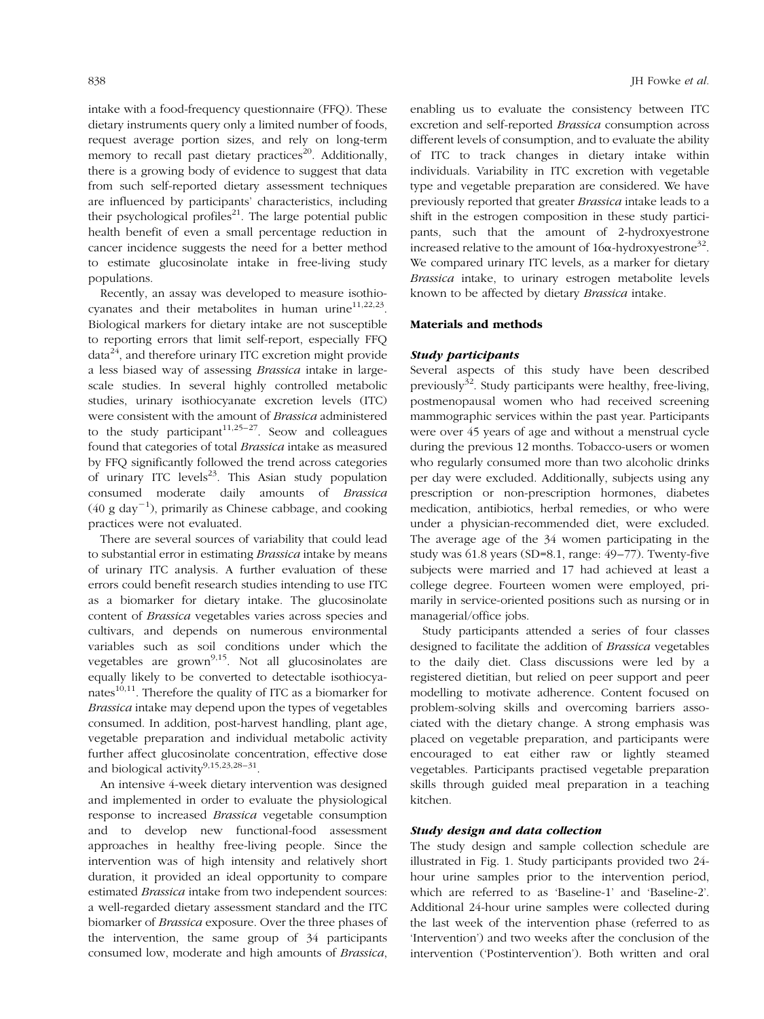intake with a food-frequency questionnaire (FFQ). These dietary instruments query only a limited number of foods, request average portion sizes, and rely on long-term memory to recall past dietary practices<sup>20</sup>. Additionally, there is a growing body of evidence to suggest that data from such self-reported dietary assessment techniques are influenced by participants' characteristics, including their psychological profiles $21$ . The large potential public health benefit of even a small percentage reduction in cancer incidence suggests the need for a better method to estimate glucosinolate intake in free-living study populations.

Recently, an assay was developed to measure isothiocyanates and their metabolites in human urine $11,22,23$ . Biological markers for dietary intake are not susceptible to reporting errors that limit self-report, especially FFQ  $data<sup>24</sup>$ , and therefore urinary ITC excretion might provide a less biased way of assessing Brassica intake in largescale studies. In several highly controlled metabolic studies, urinary isothiocyanate excretion levels (ITC) were consistent with the amount of Brassica administered to the study participant<sup>11,25-27</sup>. Seow and colleagues found that categories of total Brassica intake as measured by FFQ significantly followed the trend across categories of urinary ITC levels $^{23}$ . This Asian study population consumed moderate daily amounts of Brassica  $(40 \text{ g day}^{-1})$ , primarily as Chinese cabbage, and cooking practices were not evaluated.

There are several sources of variability that could lead to substantial error in estimating Brassica intake by means of urinary ITC analysis. A further evaluation of these errors could benefit research studies intending to use ITC as a biomarker for dietary intake. The glucosinolate content of Brassica vegetables varies across species and cultivars, and depends on numerous environmental variables such as soil conditions under which the vegetables are grown<sup>9,15</sup>. Not all glucosinolates are equally likely to be converted to detectable isothiocyanates $10,11$ . Therefore the quality of ITC as a biomarker for Brassica intake may depend upon the types of vegetables consumed. In addition, post-harvest handling, plant age, vegetable preparation and individual metabolic activity further affect glucosinolate concentration, effective dose and biological activity $9,15,23,28-31$ .

An intensive 4-week dietary intervention was designed and implemented in order to evaluate the physiological response to increased Brassica vegetable consumption and to develop new functional-food assessment approaches in healthy free-living people. Since the intervention was of high intensity and relatively short duration, it provided an ideal opportunity to compare estimated Brassica intake from two independent sources: a well-regarded dietary assessment standard and the ITC biomarker of Brassica exposure. Over the three phases of the intervention, the same group of 34 participants consumed low, moderate and high amounts of Brassica, enabling us to evaluate the consistency between ITC excretion and self-reported Brassica consumption across different levels of consumption, and to evaluate the ability of ITC to track changes in dietary intake within individuals. Variability in ITC excretion with vegetable type and vegetable preparation are considered. We have previously reported that greater Brassica intake leads to a shift in the estrogen composition in these study participants, such that the amount of 2-hydroxyestrone increased relative to the amount of  $16\alpha$ -hydroxyestrone<sup>32</sup>. We compared urinary ITC levels, as a marker for dietary Brassica intake, to urinary estrogen metabolite levels known to be affected by dietary Brassica intake.

#### Materials and methods

#### Study participants

Several aspects of this study have been described previously $3^2$ . Study participants were healthy, free-living, postmenopausal women who had received screening mammographic services within the past year. Participants were over 45 years of age and without a menstrual cycle during the previous 12 months. Tobacco-users or women who regularly consumed more than two alcoholic drinks per day were excluded. Additionally, subjects using any prescription or non-prescription hormones, diabetes medication, antibiotics, herbal remedies, or who were under a physician-recommended diet, were excluded. The average age of the 34 women participating in the study was  $61.8$  years (SD=8.1, range:  $49-77$ ). Twenty-five subjects were married and 17 had achieved at least a college degree. Fourteen women were employed, primarily in service-oriented positions such as nursing or in managerial/office jobs.

Study participants attended a series of four classes designed to facilitate the addition of Brassica vegetables to the daily diet. Class discussions were led by a registered dietitian, but relied on peer support and peer modelling to motivate adherence. Content focused on problem-solving skills and overcoming barriers associated with the dietary change. A strong emphasis was placed on vegetable preparation, and participants were encouraged to eat either raw or lightly steamed vegetables. Participants practised vegetable preparation skills through guided meal preparation in a teaching kitchen.

#### Study design and data collection

The study design and sample collection schedule are illustrated i[n Fig. 1. S](#page-2-0)tudy participants provided two 24 hour urine samples prior to the intervention period, which are referred to as 'Baseline-1' and 'Baseline-2'. Additional 24-hour urine samples were collected during the last week of the intervention phase (referred to as `Intervention') and two weeks after the conclusion of the intervention ('Postintervention'). Both written and oral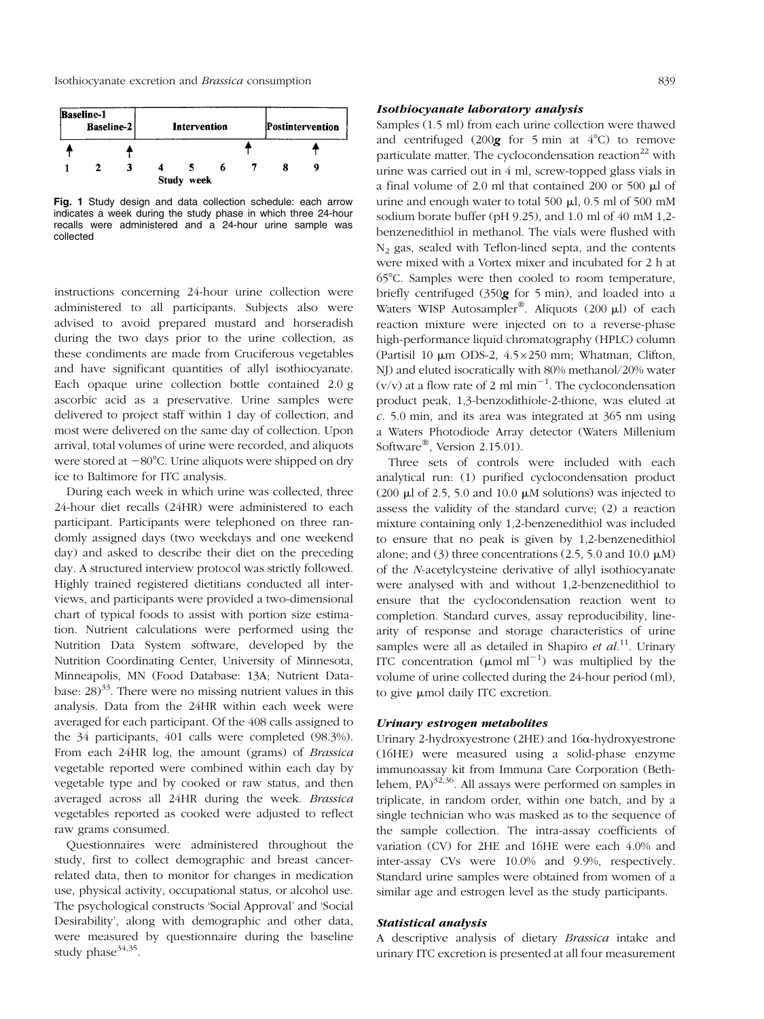<span id="page-2-0"></span>

Fig. 1 Study design and data collection schedule: each arrow indicates a week during the study phase in which three 24-hour recalls were administered and a 24-hour urine sample was collected

instructions concerning 24-hour urine collection were administered to all participants. Subjects also were advised to avoid prepared mustard and horseradish during the two days prior to the urine collection, as these condiments are made from Cruciferous vegetables and have significant quantities of allyl isothiocyanate. Each opaque urine collection bottle contained 2.0 g ascorbic acid as a preservative. Urine samples were delivered to project staff within 1 day of collection, and most were delivered on the same day of collection. Upon arrival, total volumes of urine were recorded, and aliquots were stored at  $-80^{\circ}$ C. Urine aliquots were shipped on dry ice to Baltimore for ITC analysis.

During each week in which urine was collected, three 24-hour diet recalls (24HR) were administered to each participant. Participants were telephoned on three randomly assigned days (two weekdays and one weekend day) and asked to describe their diet on the preceding day. A structured interview protocol was strictly followed. Highly trained registered dietitians conducted all interviews, and participants were provided a two-dimensional chart of typical foods to assist with portion size estimation. Nutrient calculations were performed using the Nutrition Data System software, developed by the Nutrition Coordinating Center, University of Minnesota, Minneapolis, MN (Food Database: 13A; Nutrient Database:  $28$ <sup>33</sup>. There were no missing nutrient values in this analysis. Data from the 24HR within each week were averaged for each participant. Of the 408 calls assigned to the 34 participants, 401 calls were completed (98.3%). From each 24HR log, the amount (grams) of Brassica vegetable reported were combined within each day by vegetable type and by cooked or raw status, and then averaged across all 24HR during the week. Brassica vegetables reported as cooked were adjusted to reflect raw grams consumed.

Questionnaires were administered throughout the study, first to collect demographic and breast cancerrelated data, then to monitor for changes in medication use, physical activity, occupational status, or alcohol use. The psychological constructs `Social Approval' and `Social Desirability', along with demographic and other data, were measured by questionnaire during the baseline study phase $34,35$ .

#### Isothiocyanate laboratory analysis

Samples (1.5 ml) from each urine collection were thawed and centrifuged  $(200g)$  for 5 min at  $4^{\circ}$ C) to remove particulate matter. The cyclocondensation reaction<sup>22</sup> with urine was carried out in 4 ml, screw-topped glass vials in a final volume of 2.0 ml that contained 200 or 500 ml of urine and enough water to total 500  $\mu$ l, 0.5 ml of 500 mM sodium borate buffer (pH 9.25), and 1.0 ml of 40 mM 1,2 benzenedithiol in methanol. The vials were flushed with N2 gas, sealed with Teflon-lined septa, and the contents were mixed with a Vortex mixer and incubated for 2 h at 65°C. Samples were then cooled to room temperature, briefly centrifuged (350g for 5 min), and loaded into a Waters WISP Autosampler<sup>®</sup>. Aliquots (200  $\mu$ l) of each reaction mixture were injected on to a reverse-phase high-performance liquid chromatography (HPLC) column (Partisil 10  $\mu$ m ODS-2, 4.5×250 mm; Whatman, Clifton, NJ) and eluted isocratically with 80% methanol/20% water  $(v/v)$  at a flow rate of 2 ml min<sup>-1</sup>. The cyclocondensation product peak, 1,3-benzodithiole-2-thione, was eluted at c. 5.0 min, and its area was integrated at 365 nm using a Waters Photodiode Array detector (Waters Millenium Software<sup>®</sup>, Version 2.15.01).

Three sets of controls were included with each analytical run: (1) purified cyclocondensation product (200  $\mu$ l of 2.5, 5.0 and 10.0  $\mu$ M solutions) was injected to assess the validity of the standard curve; (2) a reaction mixture containing only 1,2-benzenedithiol was included to ensure that no peak is given by 1,2-benzenedithiol alone; and (3) three concentrations  $(2.5, 5.0 \text{ and } 10.0 \text{ }\mu\text{M})$ of the N-acetylcysteine derivative of allyl isothiocyanate were analysed with and without 1,2-benzenedithiol to ensure that the cyclocondensation reaction went to completion. Standard curves, assay reproducibility, linearity of response and storage characteristics of urine samples were all as detailed in Shapiro *et al.*<sup>11</sup>. Urinary ITC concentration  $(\mu \text{mol ml}^{-1})$  was multiplied by the volume of urine collected during the 24-hour period (ml), to give umol daily ITC excretion.

#### Urinary estrogen metabolites

Urinary 2-hydroxyestrone (2HE) and  $16\alpha$ -hydroxyestrone (16HE) were measured using a solid-phase enzyme immunoassay kit from Immuna Care Corporation (Bethlehem,  $PA^{32,36}$ . All assays were performed on samples in triplicate, in random order, within one batch, and by a single technician who was masked as to the sequence of the sample collection. The intra-assay coefficients of variation (CV) for 2HE and 16HE were each 4.0% and inter-assay CVs were 10.0% and 9.9%, respectively. Standard urine samples were obtained from women of a similar age and estrogen level as the study participants.

#### Statistical analysis

A descriptive analysis of dietary Brassica intake and urinary ITC excretion is presented at all four measurement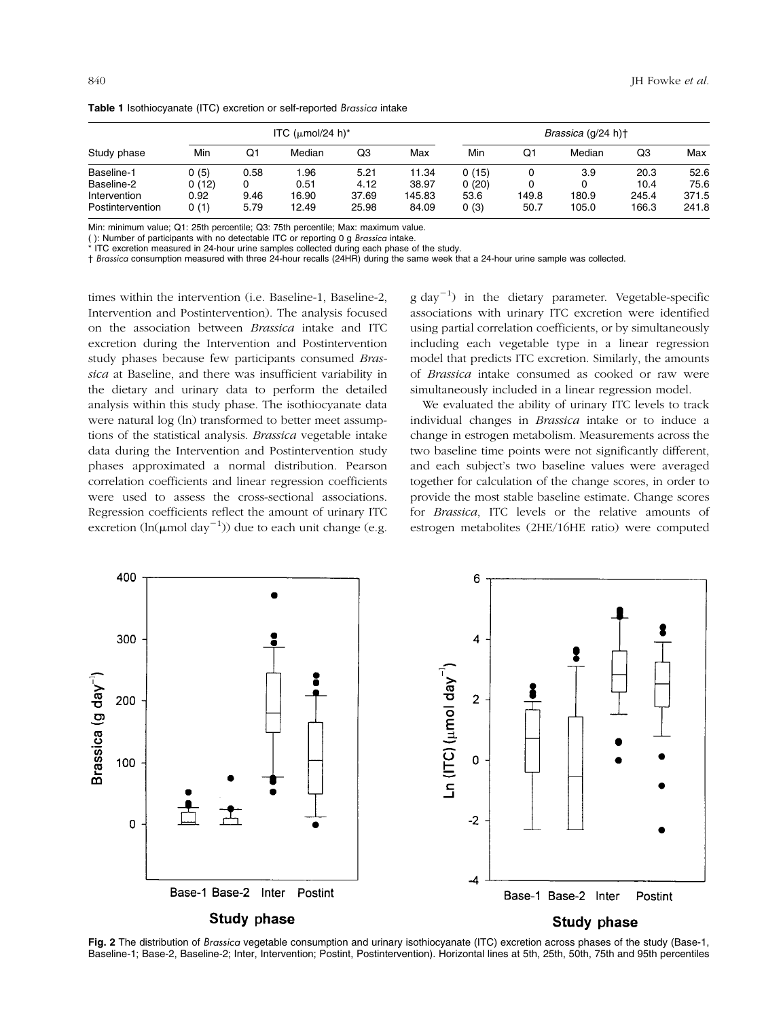|                  | ITC $(\mu \text{mol}/24 \text{ h})^*$ |      |        |       |        | Brassica (g/24 h)+ |       |        |       |       |
|------------------|---------------------------------------|------|--------|-------|--------|--------------------|-------|--------|-------|-------|
| Study phase      | Min                                   | Q1   | Median | QЗ    | Max    | Min                | Q1    | Median | Q3    | Max   |
| Baseline-1       | 0 (5)                                 | 0.58 | 1.96   | 5.21  | 11.34  | 0(15)              |       | 3.9    | 20.3  | 52.6  |
| Baseline-2       | 0(12)                                 |      | 0.51   | 4.12  | 38.97  | 0(20)              | 0     |        | 10.4  | 75.6  |
| Intervention     | 0.92                                  | 9.46 | 16.90  | 37.69 | 145.83 | 53.6               | 149.8 | 180.9  | 245.4 | 371.5 |
| Postintervention | 0 (1)                                 | 5.79 | 12.49  | 25.98 | 84.09  | 0(3)               | 50.7  | 105.0  | 166.3 | 241.8 |

<span id="page-3-0"></span>Table 1 Isothiocyanate (ITC) excretion or self-reported Brassica intake

Min: minimum value; Q1: 25th percentile; Q3: 75th percentile; Max: maximum value.

( ): Number of participants with no detectable ITC or reporting 0 g Brassica intake.

ITC excretion measured in 24-hour urine samples collected during each phase of the study.

² Brassica consumption measured with three 24-hour recalls (24HR) during the same week that a 24-hour urine sample was collected.

times within the intervention (i.e. Baseline-1, Baseline-2, Intervention and Postintervention). The analysis focused on the association between Brassica intake and ITC excretion during the Intervention and Postintervention study phases because few participants consumed Brassica at Baseline, and there was insufficient variability in the dietary and urinary data to perform the detailed analysis within this study phase. The isothiocyanate data were natural log (ln) transformed to better meet assumptions of the statistical analysis. Brassica vegetable intake data during the Intervention and Postintervention study phases approximated a normal distribution. Pearson correlation coefficients and linear regression coefficients were used to assess the cross-sectional associations. Regression coefficients reflect the amount of urinary ITC excretion  $(\ln(\mu \text{mol day}^{-1}))$  due to each unit change (e.g.

 $g \, \text{day}^{-1}$ ) in the dietary parameter. Vegetable-specific associations with urinary ITC excretion were identified using partial correlation coefficients, or by simultaneously including each vegetable type in a linear regression model that predicts ITC excretion. Similarly, the amounts of Brassica intake consumed as cooked or raw were simultaneously included in a linear regression model.

We evaluated the ability of urinary ITC levels to track individual changes in Brassica intake or to induce a change in estrogen metabolism. Measurements across the two baseline time points were not significantly different, and each subject's two baseline values were averaged together for calculation of the change scores, in order to provide the most stable baseline estimate. Change scores for Brassica, ITC levels or the relative amounts of estrogen metabolites (2HE/16HE ratio) were computed



Fig. 2 The distribution of Brassica vegetable consumption and urinary isothiocyanate (ITC) excretion across phases of the study (Base-1, Baseline-1; Base-2, Baseline-2; Inter, Intervention; Postint, Postintervention). Horizontal lines at 5th, 25th, 50th, 75th and 95th percentiles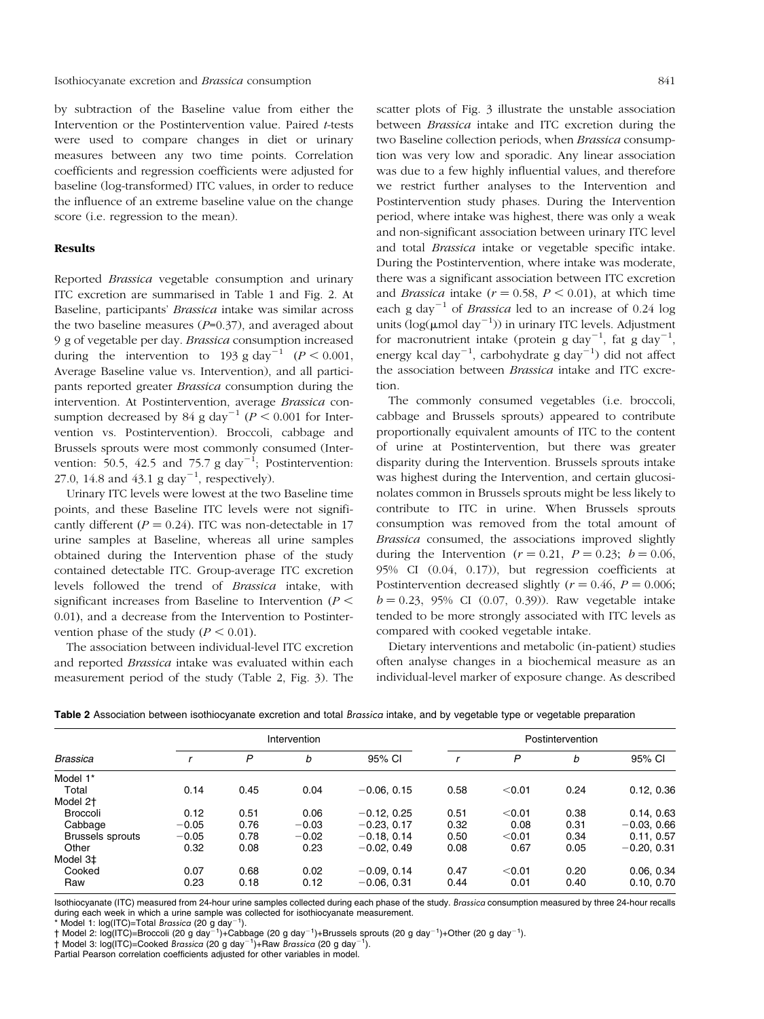by subtraction of the Baseline value from either the Intervention or the Postintervention value. Paired t-tests were used to compare changes in diet or urinary measures between any two time points. Correlation coefficients and regression coefficients were adjusted for baseline (log-transformed) ITC values, in order to reduce the influence of an extreme baseline value on the change score (i.e. regression to the mean).

#### Results

Reported Brassica vegetable consumption and urinary ITC excretion are summarised i[n Table 1](#page-3-0) an[d Fig. 2. A](#page-3-0)t Baseline, participants' Brassica intake was similar across the two baseline measures  $(P=0.37)$ , and averaged about 9 g of vegetable per day. Brassica consumption increased during the intervention to 193 g day<sup>-1</sup>  $(P < 0.001$ , Average Baseline value vs. Intervention), and all participants reported greater Brassica consumption during the intervention. At Postintervention, average Brassica consumption decreased by 84 g day<sup>-1</sup> ( $P < 0.001$  for Intervention vs. Postintervention). Broccoli, cabbage and Brussels sprouts were most commonly consumed (Intervention: 50.5, 42.5 and 75.7 g day<sup>-1</sup>; Postintervention: 27.0, 14.8 and 43.1  $g \text{ day}^{-1}$ , respectively).

Urinary ITC levels were lowest at the two Baseline time points, and these Baseline ITC levels were not significantly different ( $P = 0.24$ ). ITC was non-detectable in 17 urine samples at Baseline, whereas all urine samples obtained during the Intervention phase of the study contained detectable ITC. Group-average ITC excretion levels followed the trend of Brassica intake, with significant increases from Baseline to Intervention ( $P \leq$ 0.01), and a decrease from the Intervention to Postintervention phase of the study ( $P < 0.01$ ).

The association between individual-level ITC excretion and reported Brassica intake was evaluated within each measurement period of the study (Table 2, [Fig. 3\).](#page-5-0) The

scatter plots o[f Fig. 3 il](#page-5-0)lustrate the unstable association between Brassica intake and ITC excretion during the two Baseline collection periods, when Brassica consumption was very low and sporadic. Any linear association was due to a few highly influential values, and therefore we restrict further analyses to the Intervention and Postintervention study phases. During the Intervention period, where intake was highest, there was only a weak and non-significant association between urinary ITC level and total Brassica intake or vegetable specific intake. During the Postintervention, where intake was moderate, there was a significant association between ITC excretion and *Brassica* intake  $(r = 0.58, P \le 0.01)$ , at which time each g day<sup>-1</sup> of *Brassica* led to an increase of 0.24 log units  $(log(\mu \text{mol day}^{-1}))$  in urinary ITC levels. Adjustment for macronutrient intake (protein g day<sup>-1</sup>, fat g day<sup>-1</sup>, energy kcal day<sup>-1</sup>, carbohydrate g day<sup>-1</sup>) did not affect the association between *Brassica* intake and ITC excretion.

The commonly consumed vegetables (i.e. broccoli, cabbage and Brussels sprouts) appeared to contribute proportionally equivalent amounts of ITC to the content of urine at Postintervention, but there was greater disparity during the Intervention. Brussels sprouts intake was highest during the Intervention, and certain glucosinolates common in Brussels sprouts might be less likely to contribute to ITC in urine. When Brussels sprouts consumption was removed from the total amount of Brassica consumed, the associations improved slightly during the Intervention  $(r = 0.21, P = 0.23; b = 0.06,$ 95% CI (0.04, 0.17)), but regression coefficients at Postintervention decreased slightly  $(r = 0.46, P = 0.006;$  $b = 0.23$ , 95% CI (0.07, 0.39)). Raw vegetable intake tended to be more strongly associated with ITC levels as compared with cooked vegetable intake.

Dietary interventions and metabolic (in-patient) studies often analyse changes in a biochemical measure as an individual-level marker of exposure change. As described

|                         |         |      | Intervention |               | Postintervention |        |      |               |  |
|-------------------------|---------|------|--------------|---------------|------------------|--------|------|---------------|--|
| <b>Brassica</b>         |         | P    | b            | 95% CI        |                  | P      | b    | 95% CI        |  |
| Model 1*                |         |      |              |               |                  |        |      |               |  |
| Total                   | 0.14    | 0.45 | 0.04         | $-0.06, 0.15$ | 0.58             | < 0.01 | 0.24 | 0.12, 0.36    |  |
| Model 2+                |         |      |              |               |                  |        |      |               |  |
| <b>Broccoli</b>         | 0.12    | 0.51 | 0.06         | $-0.12, 0.25$ | 0.51             | < 0.01 | 0.38 | 0.14, 0.63    |  |
| Cabbage                 | $-0.05$ | 0.76 | $-0.03$      | $-0.23, 0.17$ | 0.32             | 0.08   | 0.31 | $-0.03, 0.66$ |  |
| <b>Brussels sprouts</b> | $-0.05$ | 0.78 | $-0.02$      | $-0.18, 0.14$ | 0.50             | < 0.01 | 0.34 | 0.11, 0.57    |  |
| Other                   | 0.32    | 0.08 | 0.23         | $-0.02, 0.49$ | 0.08             | 0.67   | 0.05 | $-0.20.0.31$  |  |
| Model 3‡                |         |      |              |               |                  |        |      |               |  |
| Cooked                  | 0.07    | 0.68 | 0.02         | $-0.09.$ 0.14 | 0.47             | < 0.01 | 0.20 | 0.06, 0.34    |  |
| Raw                     | 0.23    | 0.18 | 0.12         | $-0.06, 0.31$ | 0.44             | 0.01   | 0.40 | 0.10, 0.70    |  |

Table 2 Association between isothiocyanate excretion and total Brassica intake, and by vegetable type or vegetable preparation

Isothiocyanate (ITC) measured from 24-hour urine samples collected during each phase of the study. Brassica consumption measured by three 24-hour recalls during each week in which a urine sample was collected for isothiocyanate measurement.

).

\* Model 1: log(ITC)=Total *Brassica* (20 g day<sup>–1</sup>).<br>† Model 2: log(ITC)=Broccoli (20 g day<sup>–1</sup>)+Cabbage (20 g day<sup>–1</sup>)+Brussels sprouts (20 g day<sup>–1</sup>)+Other (20 g day<sup>–1</sup>).

 $\dagger$  Model 3: log(ITC)=Cooked Brassica (20 g day $^{-1}$ )+Raw Brassica (20 g day $^{-1}$ 

Partial Pearson correlation coefficients adjusted for other variables in model.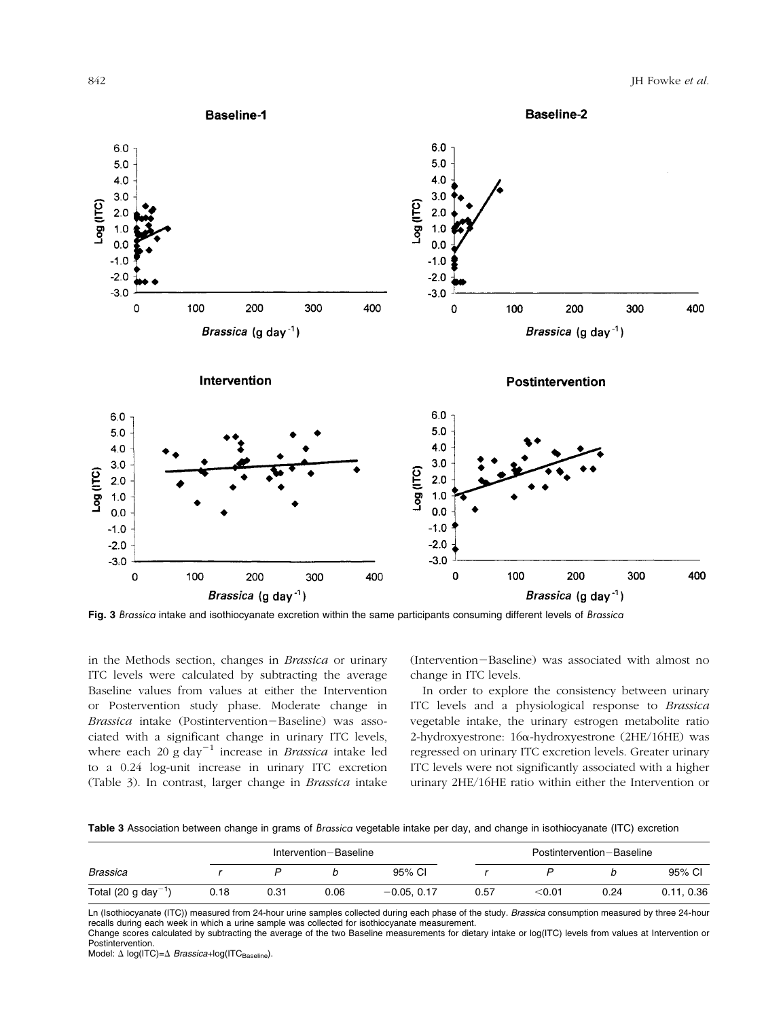<span id="page-5-0"></span>

Fig. 3 Brassica intake and isothiocyanate excretion within the same participants consuming different levels of Brassica

in the Methods section, changes in Brassica or urinary ITC levels were calculated by subtracting the average Baseline values from values at either the Intervention or Postervention study phase. Moderate change in Brassica intake (Postintervention-Baseline) was associated with a significant change in urinary ITC levels, where each 20 g day<sup>-1</sup> increase in *Brassica* intake led to a 0.24 log-unit increase in urinary ITC excretion (Table 3). In contrast, larger change in Brassica intake (Intervention-Baseline) was associated with almost no change in ITC levels.

In order to explore the consistency between urinary ITC levels and a physiological response to Brassica vegetable intake, the urinary estrogen metabolite ratio 2-hydroxyestrone: 16a-hydroxyestrone (2HE/16HE) was regressed on urinary ITC excretion levels. Greater urinary ITC levels were not significantly associated with a higher urinary 2HE/16HE ratio within either the Intervention or

Table 3 Association between change in grams of Brassica vegetable intake per day, and change in isothiocyanate (ITC) excretion

|                                 |      |      | Intervention-Baseline |               | Postintervention-Baseline |          |      |            |
|---------------------------------|------|------|-----------------------|---------------|---------------------------|----------|------|------------|
| Brassica                        |      |      |                       | 95% CI        |                           |          |      | 95% CI     |
| Total (20 g day <sup>-1</sup> ) | 0.18 | 0.31 | 0.06                  | $-0.05, 0.17$ | 0.57                      | $<$ 0.01 | 0.24 | 0.11, 0.36 |

Ln (Isothiocyanate (ITC)) measured from 24-hour urine samples collected during each phase of the study. Brassica consumption measured by three 24-hour recalls during each week in which a urine sample was collected for isothiocyanate measurement.

Change scores calculated by subtracting the average of the two Baseline measurements for dietary intake or log(ITC) levels from values at Intervention or **Postintervention** 

Model:  $\Delta$  log(ITC)= $\Delta$  Brassica+log(ITC<sub>Baseline</sub>).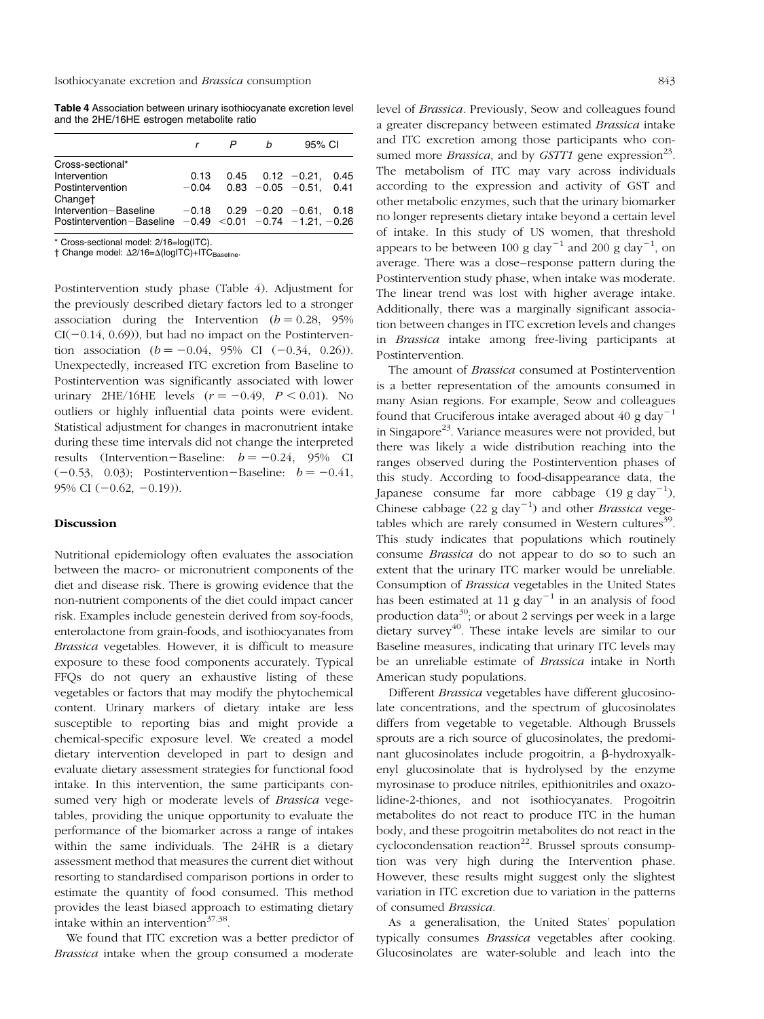Table 4 Association between urinary isothiocyanate excretion level and the 2HE/16HE estrogen metabolite ratio

|                                                               |         | h | 95% CI                         |  |
|---------------------------------------------------------------|---------|---|--------------------------------|--|
| Cross-sectional*                                              |         |   |                                |  |
| Intervention                                                  | 0.13    |   | $0.45$ $0.12$ $-0.21$ , $0.45$ |  |
| Postintervention<br>Changet                                   | $-0.04$ |   | $0.83 -0.05 -0.51$ , 0.41      |  |
| Intervention-Baseline                                         | $-0.18$ |   | $0.29 -0.20 -0.61$ , 0.18      |  |
| Postintervention-Baseline $-0.49$ < 0.01 $-0.74$ -1.21, -0.26 |         |   |                                |  |

\* Cross-sectional model: 2/16=log(ITC).

 $\dagger$  Change model:  $\Delta$ 2/16= $\Delta$ (logITC)+ITC<sub>Baseline</sub>

Postintervention study phase (Table 4). Adjustment for the previously described dietary factors led to a stronger association during the Intervention  $(b = 0.28, 95\%$  $CI(-0.14, 0.69)$ , but had no impact on the Postintervention association  $(b = -0.04, 95\% \text{ CI } (-0.34, 0.26)).$ Unexpectedly, increased ITC excretion from Baseline to Postintervention was significantly associated with lower urinary 2HE/16HE levels  $(r = -0.49, P < 0.01)$ . No outliers or highly influential data points were evident. Statistical adjustment for changes in macronutrient intake during these time intervals did not change the interpreted results (Intervention-Baseline:  $b = -0.24$ , 95% CI  $(-0.53, 0.03)$ ; Postintervention-Baseline:  $b = -0.41$ ; 95% CI  $(-0.62, -0.19)$ ).

#### Discussion

Nutritional epidemiology often evaluates the association between the macro- or micronutrient components of the diet and disease risk. There is growing evidence that the non-nutrient components of the diet could impact cancer risk. Examples include genestein derived from soy-foods, enterolactone from grain-foods, and isothiocyanates from Brassica vegetables. However, it is difficult to measure exposure to these food components accurately. Typical FFQs do not query an exhaustive listing of these vegetables or factors that may modify the phytochemical content. Urinary markers of dietary intake are less susceptible to reporting bias and might provide a chemical-specific exposure level. We created a model dietary intervention developed in part to design and evaluate dietary assessment strategies for functional food intake. In this intervention, the same participants consumed very high or moderate levels of Brassica vegetables, providing the unique opportunity to evaluate the performance of the biomarker across a range of intakes within the same individuals. The 24HR is a dietary assessment method that measures the current diet without resorting to standardised comparison portions in order to estimate the quantity of food consumed. This method provides the least biased approach to estimating dietary intake within an intervention $37,38$ .

We found that ITC excretion was a better predictor of Brassica intake when the group consumed a moderate

level of Brassica. Previously, Seow and colleagues found a greater discrepancy between estimated Brassica intake and ITC excretion among those participants who consumed more *Brassica*, and by  $GSTT1$  gene expression<sup>23</sup>. The metabolism of ITC may vary across individuals according to the expression and activity of GST and other metabolic enzymes, such that the urinary biomarker no longer represents dietary intake beyond a certain level of intake. In this study of US women, that threshold appears to be between 100 g day<sup>-1</sup> and 200 g day<sup>-1</sup>, on average. There was a dose-response pattern during the Postintervention study phase, when intake was moderate. The linear trend was lost with higher average intake. Additionally, there was a marginally significant association between changes in ITC excretion levels and changes in Brassica intake among free-living participants at Postintervention.

The amount of Brassica consumed at Postintervention is a better representation of the amounts consumed in many Asian regions. For example, Seow and colleagues found that Cruciferous intake averaged about 40 g day<sup>-1</sup> in Singapore<sup>23</sup>. Variance measures were not provided, but there was likely a wide distribution reaching into the ranges observed during the Postintervention phases of this study. According to food-disappearance data, the Japanese consume far more cabbage  $(19 \text{ g day}^{-1})$ , Chinese cabbage  $(22 \text{ g day}^{-1})$  and other *Brassica* vegetables which are rarely consumed in Western cultures<sup>39</sup>. This study indicates that populations which routinely consume Brassica do not appear to do so to such an extent that the urinary ITC marker would be unreliable. Consumption of Brassica vegetables in the United States has been estimated at 11 g  $day^{-1}$  in an analysis of food production data<sup>30</sup>; or about 2 servings per week in a large dietary survey<sup>40</sup>. These intake levels are similar to our Baseline measures, indicating that urinary ITC levels may be an unreliable estimate of Brassica intake in North American study populations.

Different Brassica vegetables have different glucosinolate concentrations, and the spectrum of glucosinolates differs from vegetable to vegetable. Although Brussels sprouts are a rich source of glucosinolates, the predominant glucosinolates include progoitrin, a B-hydroxyalkenyl glucosinolate that is hydrolysed by the enzyme myrosinase to produce nitriles, epithionitriles and oxazolidine-2-thiones, and not isothiocyanates. Progoitrin metabolites do not react to produce ITC in the human body, and these progoitrin metabolites do not react in the cyclocondensation reaction<sup>22</sup>. Brussel sprouts consumption was very high during the Intervention phase. However, these results might suggest only the slightest variation in ITC excretion due to variation in the patterns of consumed Brassica.

As a generalisation, the United States' population typically consumes Brassica vegetables after cooking. Glucosinolates are water-soluble and leach into the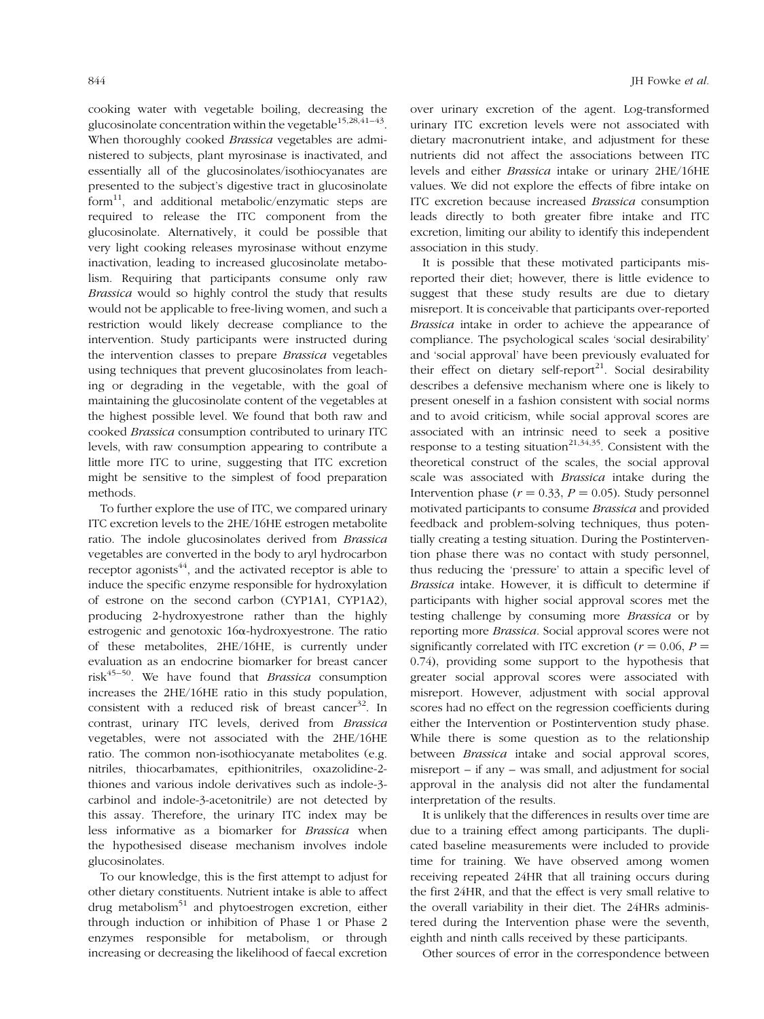cooking water with vegetable boiling, decreasing the glucosinolate concentration within the vegetable<sup>15,28,41-43</sup>. When thoroughly cooked *Brassica* vegetables are administered to subjects, plant myrosinase is inactivated, and essentially all of the glucosinolates/isothiocyanates are presented to the subject's digestive tract in glucosinolate form $^{11}$ , and additional metabolic/enzymatic steps are required to release the ITC component from the glucosinolate. Alternatively, it could be possible that very light cooking releases myrosinase without enzyme inactivation, leading to increased glucosinolate metabolism. Requiring that participants consume only raw Brassica would so highly control the study that results would not be applicable to free-living women, and such a restriction would likely decrease compliance to the intervention. Study participants were instructed during the intervention classes to prepare Brassica vegetables using techniques that prevent glucosinolates from leaching or degrading in the vegetable, with the goal of maintaining the glucosinolate content of the vegetables at the highest possible level. We found that both raw and cooked Brassica consumption contributed to urinary ITC levels, with raw consumption appearing to contribute a little more ITC to urine, suggesting that ITC excretion might be sensitive to the simplest of food preparation methods.

To further explore the use of ITC, we compared urinary ITC excretion levels to the 2HE/16HE estrogen metabolite ratio. The indole glucosinolates derived from Brassica vegetables are converted in the body to aryl hydrocarbon receptor agonists $44$ , and the activated receptor is able to induce the specific enzyme responsible for hydroxylation of estrone on the second carbon (CYP1A1, CYP1A2), producing 2-hydroxyestrone rather than the highly estrogenic and genotoxic  $16\alpha$ -hydroxyestrone. The ratio of these metabolites, 2HE/16HE, is currently under evaluation as an endocrine biomarker for breast cancer  $risk^{45-50}$ . We have found that *Brassica* consumption increases the 2HE/16HE ratio in this study population, consistent with a reduced risk of breast cancer $3^2$ . In contrast, urinary ITC levels, derived from Brassica vegetables, were not associated with the 2HE/16HE ratio. The common non-isothiocyanate metabolites (e.g. nitriles, thiocarbamates, epithionitriles, oxazolidine-2 thiones and various indole derivatives such as indole-3 carbinol and indole-3-acetonitrile) are not detected by this assay. Therefore, the urinary ITC index may be less informative as a biomarker for Brassica when the hypothesised disease mechanism involves indole glucosinolates.

To our knowledge, this is the first attempt to adjust for other dietary constituents. Nutrient intake is able to affect drug metabolism<sup>51</sup> and phytoestrogen excretion, either through induction or inhibition of Phase 1 or Phase 2 enzymes responsible for metabolism, or through increasing or decreasing the likelihood of faecal excretion over urinary excretion of the agent. Log-transformed urinary ITC excretion levels were not associated with dietary macronutrient intake, and adjustment for these nutrients did not affect the associations between ITC levels and either Brassica intake or urinary 2HE/16HE values. We did not explore the effects of fibre intake on ITC excretion because increased Brassica consumption leads directly to both greater fibre intake and ITC excretion, limiting our ability to identify this independent association in this study.

It is possible that these motivated participants misreported their diet; however, there is little evidence to suggest that these study results are due to dietary misreport. It is conceivable that participants over-reported Brassica intake in order to achieve the appearance of compliance. The psychological scales `social desirability' and 'social approval' have been previously evaluated for their effect on dietary self-report<sup>21</sup>. Social desirability describes a defensive mechanism where one is likely to present oneself in a fashion consistent with social norms and to avoid criticism, while social approval scores are associated with an intrinsic need to seek a positive response to a testing situation<sup>21,34,35</sup>. Consistent with the theoretical construct of the scales, the social approval scale was associated with Brassica intake during the Intervention phase  $(r = 0.33, P = 0.05)$ . Study personnel motivated participants to consume Brassica and provided feedback and problem-solving techniques, thus potentially creating a testing situation. During the Postintervention phase there was no contact with study personnel, thus reducing the 'pressure' to attain a specific level of Brassica intake. However, it is difficult to determine if participants with higher social approval scores met the testing challenge by consuming more Brassica or by reporting more Brassica. Social approval scores were not significantly correlated with ITC excretion  $(r = 0.06, P =$  $(0.74)$ , providing some support to the hypothesis that greater social approval scores were associated with misreport. However, adjustment with social approval scores had no effect on the regression coefficients during either the Intervention or Postintervention study phase. While there is some question as to the relationship between Brassica intake and social approval scores, misreport  $-$  if any  $-$  was small, and adjustment for social approval in the analysis did not alter the fundamental interpretation of the results.

It is unlikely that the differences in results over time are due to a training effect among participants. The duplicated baseline measurements were included to provide time for training. We have observed among women receiving repeated 24HR that all training occurs during the first 24HR, and that the effect is very small relative to the overall variability in their diet. The 24HRs administered during the Intervention phase were the seventh, eighth and ninth calls received by these participants.

Other sources of error in the correspondence between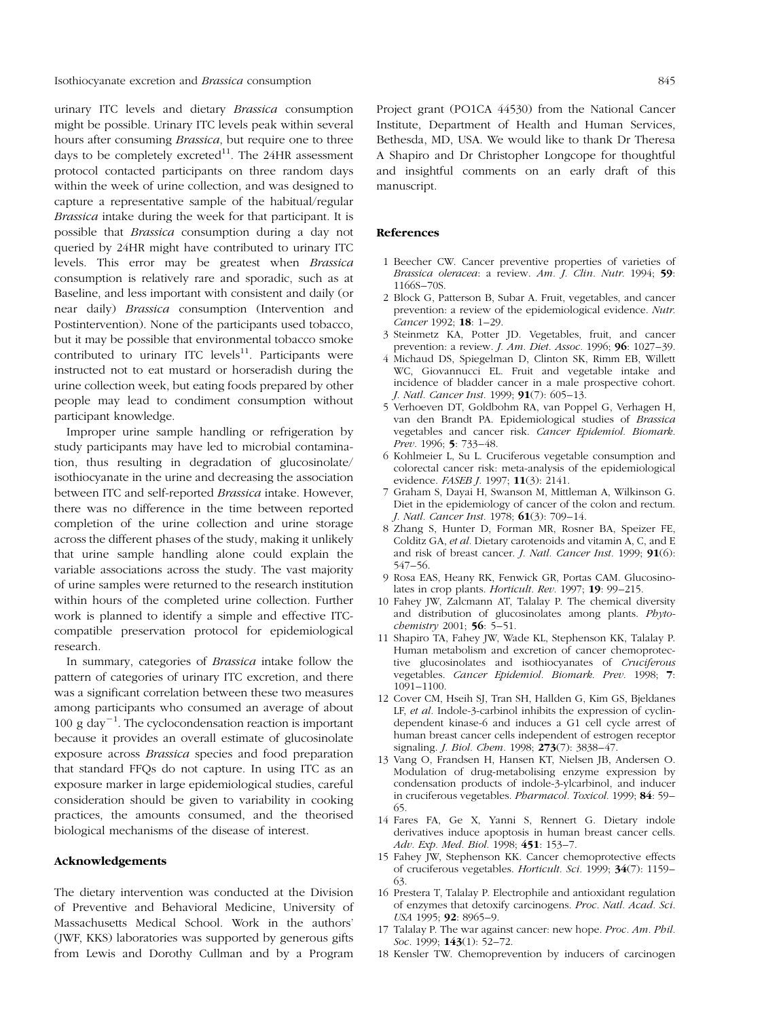Isothiocyanate excretion and Brassica consumption 845

urinary ITC levels and dietary Brassica consumption might be possible. Urinary ITC levels peak within several hours after consuming Brassica, but require one to three days to be completely excreted<sup>11</sup>. The 24HR assessment protocol contacted participants on three random days within the week of urine collection, and was designed to capture a representative sample of the habitual/regular Brassica intake during the week for that participant. It is possible that Brassica consumption during a day not queried by 24HR might have contributed to urinary ITC levels. This error may be greatest when Brassica consumption is relatively rare and sporadic, such as at Baseline, and less important with consistent and daily (or near daily) Brassica consumption (Intervention and Postintervention). None of the participants used tobacco, but it may be possible that environmental tobacco smoke contributed to urinary ITC  $levels<sup>11</sup>$ . Participants were instructed not to eat mustard or horseradish during the urine collection week, but eating foods prepared by other people may lead to condiment consumption without participant knowledge.

Improper urine sample handling or refrigeration by study participants may have led to microbial contamination, thus resulting in degradation of glucosinolate/ isothiocyanate in the urine and decreasing the association between ITC and self-reported Brassica intake. However, there was no difference in the time between reported completion of the urine collection and urine storage across the different phases of the study, making it unlikely that urine sample handling alone could explain the variable associations across the study. The vast majority of urine samples were returned to the research institution within hours of the completed urine collection. Further work is planned to identify a simple and effective ITCcompatible preservation protocol for epidemiological research.

In summary, categories of Brassica intake follow the pattern of categories of urinary ITC excretion, and there was a significant correlation between these two measures among participants who consumed an average of about  $100 \text{ g day}^{-1}$ . The cyclocondensation reaction is important because it provides an overall estimate of glucosinolate exposure across Brassica species and food preparation that standard FFQs do not capture. In using ITC as an exposure marker in large epidemiological studies, careful consideration should be given to variability in cooking practices, the amounts consumed, and the theorised biological mechanisms of the disease of interest.

#### Acknowledgements

The dietary intervention was conducted at the Division of Preventive and Behavioral Medicine, University of Massachusetts Medical School. Work in the authors' (JWF, KKS) laboratories was supported by generous gifts from Lewis and Dorothy Cullman and by a Program

Project grant (PO1CA 44530) from the National Cancer Institute, Department of Health and Human Services, Bethesda, MD, USA. We would like to thank Dr Theresa A Shapiro and Dr Christopher Longcope for thoughtful and insightful comments on an early draft of this manuscript.

#### References

- 1 Beecher CW. Cancer preventive properties of varieties of Brassica oleracea: a review. Am. J. Clin. Nutr. 1994; 59: 1166S-70S.
- 2 Block G, Patterson B, Subar A. Fruit, vegetables, and cancer prevention: a review of the epidemiological evidence. Nutr. Cancer 1992; 18: 1-29.
- 3 Steinmetz KA, Potter JD. Vegetables, fruit, and cancer prevention: a review. *J. Am. Diet. Assoc.* 1996; **96**: 1027–39.
- 4 Michaud DS, Spiegelman D, Clinton SK, Rimm EB, Willett WC, Giovannucci EL. Fruit and vegetable intake and incidence of bladder cancer in a male prospective cohort. J. Natl. Cancer Inst. 1999; 91(7): 605-13.
- 5 Verhoeven DT, Goldbohm RA, van Poppel G, Verhagen H, van den Brandt PA. Epidemiological studies of Brassica vegetables and cancer risk. Cancer Epidemiol. Biomark. Prev. 1996; 5: 733-48.
- 6 Kohlmeier L, Su L. Cruciferous vegetable consumption and colorectal cancer risk: meta-analysis of the epidemiological evidence. FASEB J. 1997; 11(3): 2141.
- 7 Graham S, Dayai H, Swanson M, Mittleman A, Wilkinson G. Diet in the epidemiology of cancer of the colon and rectum. J. Natl. Cancer Inst. 1978; 61(3): 709-14.
- 8 Zhang S, Hunter D, Forman MR, Rosner BA, Speizer FE, Colditz GA, et al. Dietary carotenoids and vitamin A, C, and E and risk of breast cancer. *J. Natl. Cancer Inst.* 1999; 91(6): 547±56.
- 9 Rosa EAS, Heany RK, Fenwick GR, Portas CAM. Glucosinolates in crop plants. Horticult. Rev. 1997;  $19: 99-215$ .
- 10 Fahey JW, Zalcmann AT, Talalay P. The chemical diversity and distribution of glucosinolates among plants. Phytochemistry 2001; 56:  $5-51$ .
- 11 Shapiro TA, Fahey JW, Wade KL, Stephenson KK, Talalay P. Human metabolism and excretion of cancer chemoprotective glucosinolates and isothiocyanates of Cruciferous vegetables. Cancer Epidemiol. Biomark. Prev. 1998; 7:  $1091 - 1100$ .
- 12 Cover CM, Hseih SJ, Tran SH, Hallden G, Kim GS, Bjeldanes LF, et al. Indole-3-carbinol inhibits the expression of cyclindependent kinase-6 and induces a G1 cell cycle arrest of human breast cancer cells independent of estrogen receptor signaling. *I. Biol. Chem.* 1998: **273**(7): 3838-47.
- 13 Vang O, Frandsen H, Hansen KT, Nielsen JB, Andersen O. Modulation of drug-metabolising enzyme expression by condensation products of indole-3-ylcarbinol, and inducer in cruciferous vegetables. Pharmacol. Toxicol. 1999; 84: 59-65.
- 14 Fares FA, Ge X, Yanni S, Rennert G. Dietary indole derivatives induce apoptosis in human breast cancer cells. Adv. Exp. Med. Biol. 1998; 451: 153-7.
- 15 Fahey JW, Stephenson KK. Cancer chemoprotective effects of cruciferous vegetables. Horticult. Sci. 1999; 34(7): 1159-63.
- 16 Prestera T, Talalay P. Electrophile and antioxidant regulation of enzymes that detoxify carcinogens. Proc. Natl. Acad. Sci.  $USA$  1995; **92**: 8965-9.
- 17 Talalay P. The war against cancer: new hope. Proc. Am. Phil. Soc. 1999;  $143(1)$ : 52-72.
- 18 Kensler TW. Chemoprevention by inducers of carcinogen